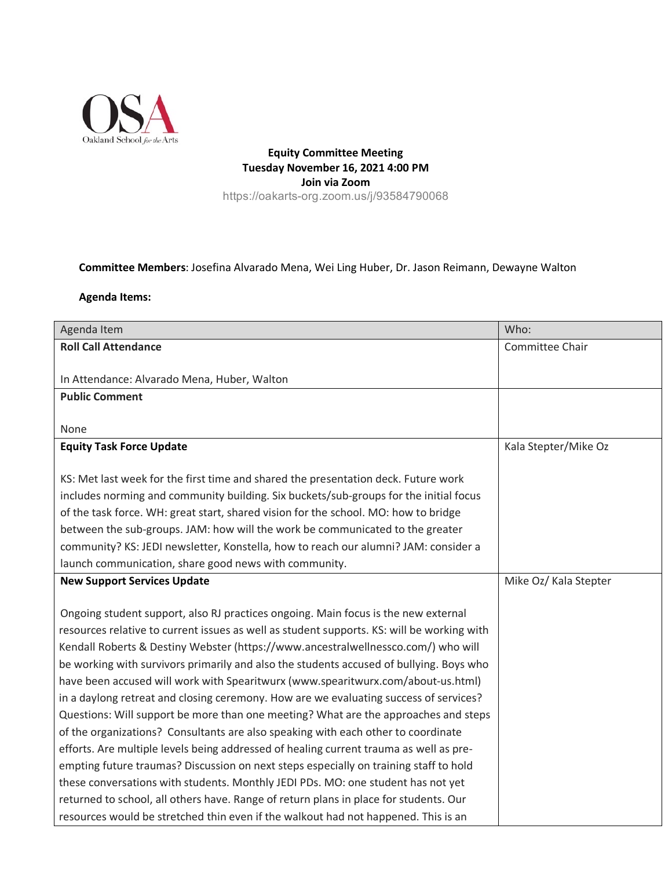

**Equity Committee Meeting Tuesday November 16, 2021 4:00 PM Join via Zoom** https://oakarts-org.zoom.us/j/93584790068

## **Committee Members**: Josefina Alvarado Mena, Wei Ling Huber, Dr. Jason Reimann, Dewayne Walton

## **Agenda Items:**

| Agenda Item                                                                                                                                                                 | Who:                  |
|-----------------------------------------------------------------------------------------------------------------------------------------------------------------------------|-----------------------|
| <b>Roll Call Attendance</b>                                                                                                                                                 | Committee Chair       |
|                                                                                                                                                                             |                       |
| In Attendance: Alvarado Mena, Huber, Walton                                                                                                                                 |                       |
| <b>Public Comment</b>                                                                                                                                                       |                       |
|                                                                                                                                                                             |                       |
| None                                                                                                                                                                        |                       |
| <b>Equity Task Force Update</b>                                                                                                                                             | Kala Stepter/Mike Oz  |
|                                                                                                                                                                             |                       |
| KS: Met last week for the first time and shared the presentation deck. Future work<br>includes norming and community building. Six buckets/sub-groups for the initial focus |                       |
| of the task force. WH: great start, shared vision for the school. MO: how to bridge                                                                                         |                       |
| between the sub-groups. JAM: how will the work be communicated to the greater                                                                                               |                       |
| community? KS: JEDI newsletter, Konstella, how to reach our alumni? JAM: consider a                                                                                         |                       |
| launch communication, share good news with community.                                                                                                                       |                       |
| <b>New Support Services Update</b>                                                                                                                                          | Mike Oz/ Kala Stepter |
|                                                                                                                                                                             |                       |
| Ongoing student support, also RJ practices ongoing. Main focus is the new external                                                                                          |                       |
| resources relative to current issues as well as student supports. KS: will be working with                                                                                  |                       |
| Kendall Roberts & Destiny Webster (https://www.ancestralwellnessco.com/) who will                                                                                           |                       |
| be working with survivors primarily and also the students accused of bullying. Boys who                                                                                     |                       |
| have been accused will work with Spearitwurx (www.spearitwurx.com/about-us.html)                                                                                            |                       |
| in a daylong retreat and closing ceremony. How are we evaluating success of services?                                                                                       |                       |
| Questions: Will support be more than one meeting? What are the approaches and steps                                                                                         |                       |
| of the organizations? Consultants are also speaking with each other to coordinate                                                                                           |                       |
| efforts. Are multiple levels being addressed of healing current trauma as well as pre-                                                                                      |                       |
| empting future traumas? Discussion on next steps especially on training staff to hold                                                                                       |                       |
| these conversations with students. Monthly JEDI PDs. MO: one student has not yet                                                                                            |                       |
| returned to school, all others have. Range of return plans in place for students. Our                                                                                       |                       |
| resources would be stretched thin even if the walkout had not happened. This is an                                                                                          |                       |